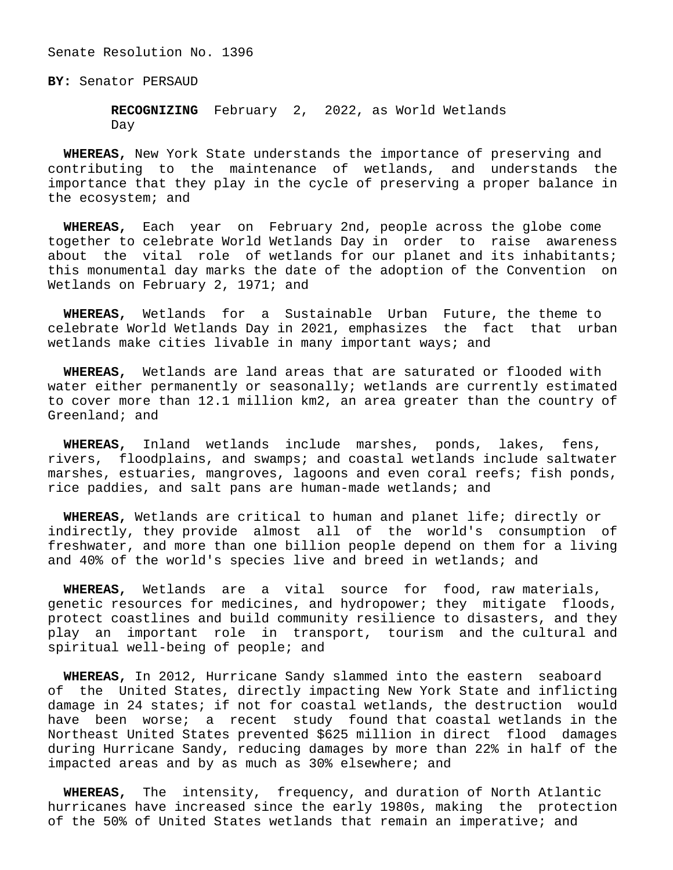## Senate Resolution No. 1396

**BY:** Senator PERSAUD

 **RECOGNIZING** February 2, 2022, as World Wetlands Day

 **WHEREAS,** New York State understands the importance of preserving and contributing to the maintenance of wetlands, and understands the importance that they play in the cycle of preserving a proper balance in the ecosystem; and

 **WHEREAS,** Each year on February 2nd, people across the globe come together to celebrate World Wetlands Day in order to raise awareness about the vital role of wetlands for our planet and its inhabitants; this monumental day marks the date of the adoption of the Convention on Wetlands on February 2, 1971; and

 **WHEREAS,** Wetlands for a Sustainable Urban Future, the theme to celebrate World Wetlands Day in 2021, emphasizes the fact that urban wetlands make cities livable in many important ways; and

 **WHEREAS,** Wetlands are land areas that are saturated or flooded with water either permanently or seasonally; wetlands are currently estimated to cover more than 12.1 million km2, an area greater than the country of Greenland; and

 **WHEREAS,** Inland wetlands include marshes, ponds, lakes, fens, rivers, floodplains, and swamps; and coastal wetlands include saltwater marshes, estuaries, mangroves, lagoons and even coral reefs; fish ponds, rice paddies, and salt pans are human-made wetlands; and

 **WHEREAS,** Wetlands are critical to human and planet life; directly or indirectly, they provide almost all of the world's consumption of freshwater, and more than one billion people depend on them for a living and 40% of the world's species live and breed in wetlands; and

 **WHEREAS,** Wetlands are a vital source for food, raw materials, genetic resources for medicines, and hydropower; they mitigate floods, protect coastlines and build community resilience to disasters, and they play an important role in transport, tourism and the cultural and spiritual well-being of people; and

 **WHEREAS,** In 2012, Hurricane Sandy slammed into the eastern seaboard of the United States, directly impacting New York State and inflicting damage in 24 states; if not for coastal wetlands, the destruction would have been worse; a recent study found that coastal wetlands in the Northeast United States prevented \$625 million in direct flood damages during Hurricane Sandy, reducing damages by more than 22% in half of the impacted areas and by as much as 30% elsewhere; and

 **WHEREAS,** The intensity, frequency, and duration of North Atlantic hurricanes have increased since the early 1980s, making the protection of the 50% of United States wetlands that remain an imperative; and